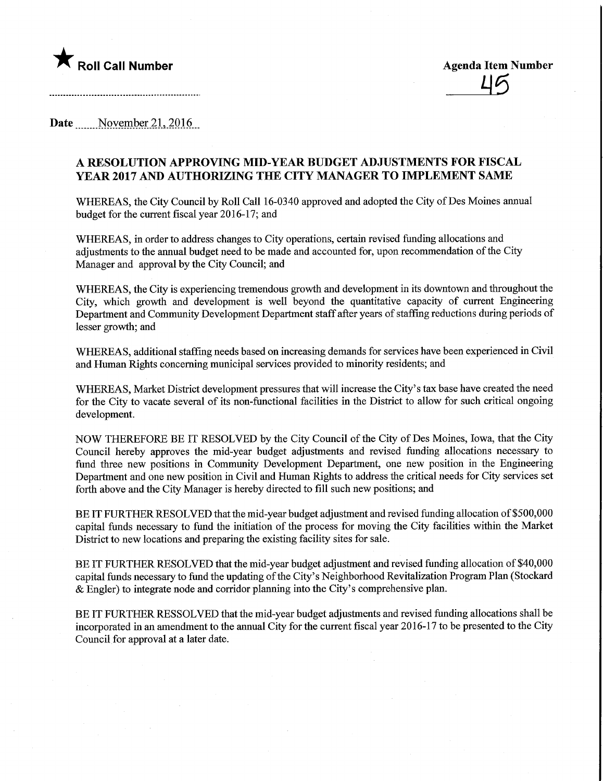

Date November 21, 2016

## A RESOLUTION APPROVING MID-YEAR BUDGET ADJUSTMENTS FOR FISCAL YEAR 2017 AND AUTHORIZING THE CITY MANAGER TO IMPLEMENT SAME

WHEREAS, the City Council by Roll Call 16-0340 approved and adopted the City of Des Moines annual budget for the current fiscal year 2016-17; and

WHEREAS, in order to address changes to City operations, certain revised funding allocations and adjustments to the annual budget need to be made and accounted for, upon recommendation of the City Manager and approval by the City Council; and

WHEREAS, the City is experiencing tremendous growth and development in its downtown and throughout the City, which growth and development is well beyond the quantitative capacity of current Engineering Department and Community Development Department staff after years of stafFmg reductions during periods of lesser growth; and

WHEREAS, additional staffing needs based on increasing demands for services have been experienced in Civil and Human Rights concerning municipal services provided to minority residents; and

WHEREAS, Market District development pressures that will increase the City's tax base have created the need for the City to vacate several of its non-functional facilities in the District to allow for such critical ongomg development.

NOW THEREFORE BE IT RESOLVED by the City Council of the City of Des Moines, Iowa, that the City Council hereby approves the mid-year budget adjustments and revised funding allocations necessary to fund three new positions in Community Development Department, one new position in the Engineering Department and one new position in Civil and Human Rights to address the critical needs for City services set forth above and the City Manager is hereby directed to fill such new positions; and

BE IT FURTHER RESOLVED that the mid-year budget adjustment and revised funding allocation of \$500,000 capital funds necessary to fund the initiation of the process for moving the City facilities within the Market District to new locations and preparing the existing facility sites for sale.

BE IT FURTHER RESOLVED that the mid-year budget adjustnent and revised funding allocation of \$40,000 capital funds necessary to fund the updating of the City's Neighborhood Revitalization Program Plan (Stockard & Engler) to integrate node and corridor planning into the City's comprehensive plan.

BE IT FURTHER RESSOLVED that the mid-year budget adjustments and revised funding allocations shall be incorporated in an amendment to the annual City for the current fiscal year 2016-17 to be presented to the City Council for approval at a later date.